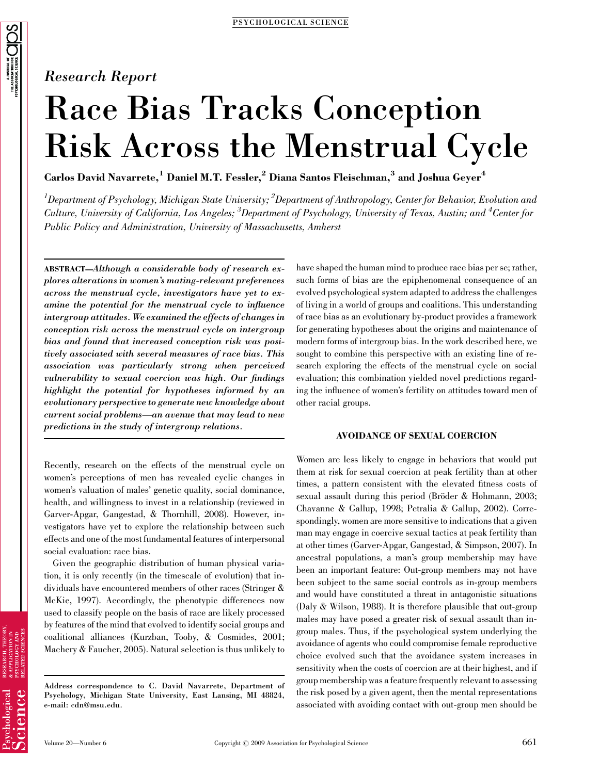# Research Report

# Race Bias Tracks Conception Risk Across the Menstrual Cycle

Carlos David Navarrete,<sup>1</sup> Daniel M.T. Fessler,<sup>2</sup> Diana Santos Fleischman,<sup>3</sup> and Joshua Geyer<sup>4</sup>

 $^1$ Department of Psychology, Michigan State University;  $^2$ Department of Anthropology, Center for Behavior, Evolution and Culture, University of California, Los Angeles;  $^3$ Department of Psychology, University of Texas, Austin; and  $^4$ Center for Public Policy and Administration, University of Massachusetts, Amherst

ABSTRACT—Although a considerable body of research explores alterations in women's mating-relevant preferences across the menstrual cycle, investigators have yet to examine the potential for the menstrual cycle to influence intergroup attitudes. We examined the effects of changes in conception risk across the menstrual cycle on intergroup bias and found that increased conception risk was positively associated with several measures of race bias. This association was particularly strong when perceived vulnerability to sexual coercion was high. Our findings highlight the potential for hypotheses informed by an evolutionary perspective to generate new knowledge about current social problems—an avenue that may lead to new predictions in the study of intergroup relations.

Recently, research on the effects of the menstrual cycle on women's perceptions of men has revealed cyclic changes in women's valuation of males' genetic quality, social dominance, health, and willingness to invest in a relationship (reviewed in Garver-Apgar, Gangestad, & Thornhill, 2008). However, investigators have yet to explore the relationship between such effects and one of the most fundamental features of interpersonal social evaluation: race bias.

Given the geographic distribution of human physical variation, it is only recently (in the timescale of evolution) that individuals have encountered members of other races (Stringer & McKie, 1997). Accordingly, the phenotypic differences now used to classify people on the basis of race are likely processed by features of the mind that evolved to identify social groups and coalitional alliances (Kurzban, Tooby, & Cosmides, 2001; Machery & Faucher, 2005). Natural selection is thus unlikely to have shaped the human mind to produce race bias per se; rather, such forms of bias are the epiphenomenal consequence of an evolved psychological system adapted to address the challenges of living in a world of groups and coalitions. This understanding of race bias as an evolutionary by-product provides a framework for generating hypotheses about the origins and maintenance of modern forms of intergroup bias. In the work described here, we sought to combine this perspective with an existing line of research exploring the effects of the menstrual cycle on social evaluation; this combination yielded novel predictions regarding the influence of women's fertility on attitudes toward men of other racial groups.

# AVOIDANCE OF SEXUAL COERCION

Women are less likely to engage in behaviors that would put them at risk for sexual coercion at peak fertility than at other times, a pattern consistent with the elevated fitness costs of sexual assault during this period (Bröder & Hohmann, 2003; Chavanne & Gallup, 1998; Petralia & Gallup, 2002). Correspondingly, women are more sensitive to indications that a given man may engage in coercive sexual tactics at peak fertility than at other times (Garver-Apgar, Gangestad, & Simpson, 2007). In ancestral populations, a man's group membership may have been an important feature: Out-group members may not have been subject to the same social controls as in-group members and would have constituted a threat in antagonistic situations (Daly & Wilson, 1988). It is therefore plausible that out-group males may have posed a greater risk of sexual assault than ingroup males. Thus, if the psychological system underlying the avoidance of agents who could compromise female reproductive choice evolved such that the avoidance system increases in sensitivity when the costs of coercion are at their highest, and if group membership was a feature frequently relevant to assessing the risk posed by a given agent, then the mental representations associated with avoiding contact with out-group men should be

Address correspondence to C. David Navarrete, Department of Psychology, Michigan State University, East Lansing, MI 48824, e-mail: cdn@msu.edu.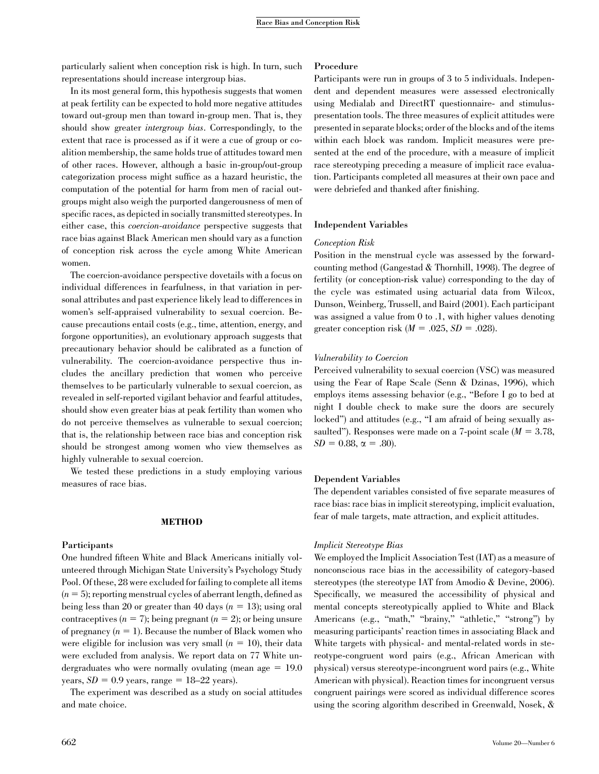particularly salient when conception risk is high. In turn, such representations should increase intergroup bias.

#### Procedure

In its most general form, this hypothesis suggests that women at peak fertility can be expected to hold more negative attitudes toward out-group men than toward in-group men. That is, they should show greater intergroup bias. Correspondingly, to the extent that race is processed as if it were a cue of group or coalition membership, the same holds true of attitudes toward men of other races. However, although a basic in-group/out-group categorization process might suffice as a hazard heuristic, the computation of the potential for harm from men of racial outgroups might also weigh the purported dangerousness of men of specific races, as depicted in socially transmitted stereotypes. In either case, this coercion-avoidance perspective suggests that race bias against Black American men should vary as a function of conception risk across the cycle among White American women.

The coercion-avoidance perspective dovetails with a focus on individual differences in fearfulness, in that variation in personal attributes and past experience likely lead to differences in women's self-appraised vulnerability to sexual coercion. Because precautions entail costs (e.g., time, attention, energy, and forgone opportunities), an evolutionary approach suggests that precautionary behavior should be calibrated as a function of vulnerability. The coercion-avoidance perspective thus includes the ancillary prediction that women who perceive themselves to be particularly vulnerable to sexual coercion, as revealed in self-reported vigilant behavior and fearful attitudes, should show even greater bias at peak fertility than women who do not perceive themselves as vulnerable to sexual coercion; that is, the relationship between race bias and conception risk should be strongest among women who view themselves as highly vulnerable to sexual coercion.

We tested these predictions in a study employing various measures of race bias.

# **METHOD**

#### Participants

One hundred fifteen White and Black Americans initially volunteered through Michigan State University's Psychology Study Pool. Of these, 28 were excluded for failing to complete all items  $(n = 5)$ ; reporting menstrual cycles of aberrant length, defined as being less than 20 or greater than 40 days  $(n = 13)$ ; using oral contraceptives  $(n = 7)$ ; being pregnant  $(n = 2)$ ; or being unsure of pregnancy  $(n = 1)$ . Because the number of Black women who were eligible for inclusion was very small  $(n = 10)$ , their data were excluded from analysis. We report data on 77 White undergraduates who were normally ovulating (mean age  $= 19.0$ ) years,  $SD = 0.9$  years, range = 18–22 years).

The experiment was described as a study on social attitudes and mate choice.

Participants were run in groups of 3 to 5 individuals. Independent and dependent measures were assessed electronically using Medialab and DirectRT questionnaire- and stimuluspresentation tools. The three measures of explicit attitudes were presented in separate blocks; order of the blocks and of the items within each block was random. Implicit measures were presented at the end of the procedure, with a measure of implicit race stereotyping preceding a measure of implicit race evaluation. Participants completed all measures at their own pace and were debriefed and thanked after finishing.

# Independent Variables

# Conception Risk

Position in the menstrual cycle was assessed by the forwardcounting method (Gangestad & Thornhill, 1998). The degree of fertility (or conception-risk value) corresponding to the day of the cycle was estimated using actuarial data from Wilcox, Dunson, Weinberg, Trussell, and Baird (2001). Each participant was assigned a value from 0 to .1, with higher values denoting greater conception risk  $(M = .025, SD = .028)$ .

#### Vulnerability to Coercion

Perceived vulnerability to sexual coercion (VSC) was measured using the Fear of Rape Scale (Senn & Dzinas, 1996), which employs items assessing behavior (e.g., ''Before I go to bed at night I double check to make sure the doors are securely locked") and attitudes (e.g., "I am afraid of being sexually assaulted"). Responses were made on a 7-point scale  $(M = 3.78$ ,  $SD = 0.88$ ,  $\alpha = .80$ ).

#### Dependent Variables

The dependent variables consisted of five separate measures of race bias: race bias in implicit stereotyping, implicit evaluation, fear of male targets, mate attraction, and explicit attitudes.

# Implicit Stereotype Bias

We employed the Implicit Association Test (IAT) as a measure of nonconscious race bias in the accessibility of category-based stereotypes (the stereotype IAT from Amodio & Devine, 2006). Specifically, we measured the accessibility of physical and mental concepts stereotypically applied to White and Black Americans (e.g., "math," "brainy," "athletic," "strong") by measuring participants' reaction times in associating Black and White targets with physical- and mental-related words in stereotype-congruent word pairs (e.g., African American with physical) versus stereotype-incongruent word pairs (e.g., White American with physical). Reaction times for incongruent versus congruent pairings were scored as individual difference scores using the scoring algorithm described in Greenwald, Nosek, &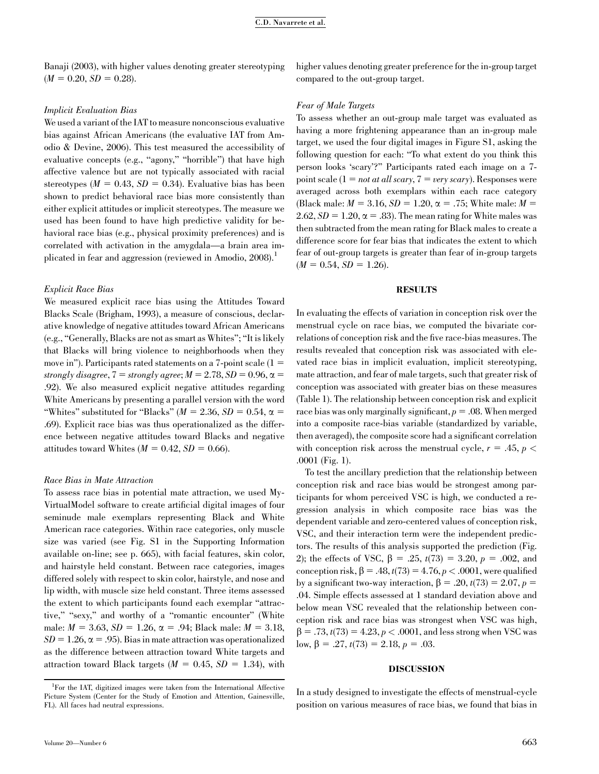Banaji (2003), with higher values denoting greater stereotyping  $(M = 0.20, SD = 0.28).$ 

# Implicit Evaluation Bias

We used a variant of the IAT to measure nonconscious evaluative bias against African Americans (the evaluative IAT from Amodio & Devine, 2006). This test measured the accessibility of evaluative concepts (e.g., "agony," "horrible") that have high affective valence but are not typically associated with racial stereotypes ( $M = 0.43$ ,  $SD = 0.34$ ). Evaluative bias has been shown to predict behavioral race bias more consistently than either explicit attitudes or implicit stereotypes. The measure we used has been found to have high predictive validity for behavioral race bias (e.g., physical proximity preferences) and is correlated with activation in the amygdala—a brain area implicated in fear and aggression (reviewed in Amodio, 2008).<sup>1</sup>

# Explicit Race Bias

We measured explicit race bias using the Attitudes Toward Blacks Scale (Brigham, 1993), a measure of conscious, declarative knowledge of negative attitudes toward African Americans (e.g., ''Generally, Blacks are not as smart as Whites''; ''It is likely that Blacks will bring violence to neighborhoods when they move in"). Participants rated statements on a 7-point scale  $(1 =$ strongly disagree,  $7 =$  strongly agree;  $M = 2.78$ ,  $SD = 0.96$ ,  $\alpha =$ .92). We also measured explicit negative attitudes regarding White Americans by presenting a parallel version with the word "Whites" substituted for "Blacks" ( $M = 2.36$ ,  $SD = 0.54$ ,  $\alpha =$ .69). Explicit race bias was thus operationalized as the difference between negative attitudes toward Blacks and negative attitudes toward Whites  $(M = 0.42, SD = 0.66)$ .

## Race Bias in Mate Attraction

To assess race bias in potential mate attraction, we used My-VirtualModel software to create artificial digital images of four seminude male exemplars representing Black and White American race categories. Within race categories, only muscle size was varied (see Fig. S1 in the Supporting Information available on-line; see p. 665), with facial features, skin color, and hairstyle held constant. Between race categories, images differed solely with respect to skin color, hairstyle, and nose and lip width, with muscle size held constant. Three items assessed the extent to which participants found each exemplar ''attractive," "sexy," and worthy of a "romantic encounter" (White male:  $M = 3.63$ ,  $SD = 1.26$ ,  $\alpha = .94$ ; Black male:  $M = 3.18$ ,  $SD = 1.26$ ,  $\alpha = .95$ ). Bias in mate attraction was operationalized as the difference between attraction toward White targets and attraction toward Black targets  $(M = 0.45, SD = 1.34)$ , with higher values denoting greater preference for the in-group target compared to the out-group target.

### Fear of Male Targets

To assess whether an out-group male target was evaluated as having a more frightening appearance than an in-group male target, we used the four digital images in Figure S1, asking the following question for each: ''To what extent do you think this person looks 'scary'?'' Participants rated each image on a 7 point scale (1 = not at all scary, 7 = very scary). Responses were averaged across both exemplars within each race category (Black male:  $M = 3.16$ ,  $SD = 1.20$ ,  $\alpha = .75$ ; White male:  $M =$  $2.62$ ,  $SD = 1.20$ ,  $\alpha = .83$ ). The mean rating for White males was then subtracted from the mean rating for Black males to create a difference score for fear bias that indicates the extent to which fear of out-group targets is greater than fear of in-group targets  $(M = 0.54, SD = 1.26).$ 

# **RESULTS**

In evaluating the effects of variation in conception risk over the menstrual cycle on race bias, we computed the bivariate correlations of conception risk and the five race-bias measures. The results revealed that conception risk was associated with elevated race bias in implicit evaluation, implicit stereotyping, mate attraction, and fear of male targets, such that greater risk of conception was associated with greater bias on these measures (Table 1). The relationship between conception risk and explicit race bias was only marginally significant,  $p = .08$ . When merged into a composite race-bias variable (standardized by variable, then averaged), the composite score had a significant correlation with conception risk across the menstrual cycle,  $r = .45$ ,  $p <$ .0001 (Fig. 1).

To test the ancillary prediction that the relationship between conception risk and race bias would be strongest among participants for whom perceived VSC is high, we conducted a regression analysis in which composite race bias was the dependent variable and zero-centered values of conception risk, VSC, and their interaction term were the independent predictors. The results of this analysis supported the prediction (Fig. 2); the effects of VSC,  $\beta = .25$ ,  $t(73) = 3.20$ ,  $p = .002$ , and conception risk,  $\beta = .48$ ,  $t(73) = 4.76$ ,  $p < .0001$ , were qualified by a significant two-way interaction,  $\beta = .20$ ,  $t(73) = 2.07$ ,  $p =$ .04. Simple effects assessed at 1 standard deviation above and below mean VSC revealed that the relationship between conception risk and race bias was strongest when VSC was high,  $\beta = .73, t(73) = 4.23, p < .0001$ , and less strong when VSC was low,  $\beta = .27$ ,  $t(73) = 2.18$ ,  $p = .03$ .

# DISCUSSION

In a study designed to investigate the effects of menstrual-cycle position on various measures of race bias, we found that bias in

<sup>&</sup>lt;sup>1</sup>For the IAT, digitized images were taken from the International Affective Picture System (Center for the Study of Emotion and Attention, Gainesville, FL). All faces had neutral expressions.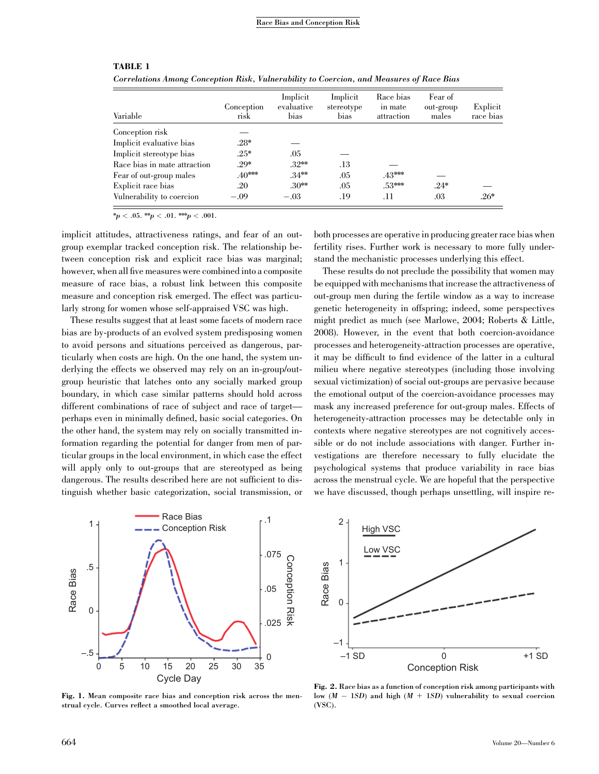| Variable                     | Conception<br>risk | Implicit<br>evaluative<br>bias | Implicit<br>stereotype<br>bias | Race bias<br>in mate<br>attraction | Fear of<br>out-group<br>males | Explicit<br>race bias |
|------------------------------|--------------------|--------------------------------|--------------------------------|------------------------------------|-------------------------------|-----------------------|
| Conception risk              |                    |                                |                                |                                    |                               |                       |
| Implicit evaluative bias     | $.28*$             |                                |                                |                                    |                               |                       |
| Implicit stereotype bias     | $.25*$             | .05                            |                                |                                    |                               |                       |
| Race bias in mate attraction | $.29*$             | $.32**$                        | .13                            |                                    |                               |                       |
| Fear of out-group males      | $40***$            | $.34**$                        | .05                            | $.43***$                           |                               |                       |
| Explicit race bias           | .20                | $.30**$                        | .05                            | $.53***$                           | $.24*$                        |                       |
| Vulnerability to coercion    | $-.09$             | $-.03$                         | .19                            | .11                                | .03                           | $.26*$                |

TABLE 1

Correlations Among Conception Risk, Vulnerability to Coercion, and Measures of Race Bias

\* $p < .05.$  \*\* $p < .01.$  \*\* $p < .001.$ 

implicit attitudes, attractiveness ratings, and fear of an outgroup exemplar tracked conception risk. The relationship between conception risk and explicit race bias was marginal; however, when all five measures were combined into a composite measure of race bias, a robust link between this composite measure and conception risk emerged. The effect was particularly strong for women whose self-appraised VSC was high.

These results suggest that at least some facets of modern race bias are by-products of an evolved system predisposing women to avoid persons and situations perceived as dangerous, particularly when costs are high. On the one hand, the system underlying the effects we observed may rely on an in-group/outgroup heuristic that latches onto any socially marked group boundary, in which case similar patterns should hold across different combinations of race of subject and race of target perhaps even in minimally defined, basic social categories. On the other hand, the system may rely on socially transmitted information regarding the potential for danger from men of particular groups in the local environment, in which case the effect will apply only to out-groups that are stereotyped as being dangerous. The results described here are not sufficient to distinguish whether basic categorization, social transmission, or

both processes are operative in producing greater race bias when fertility rises. Further work is necessary to more fully understand the mechanistic processes underlying this effect.

These results do not preclude the possibility that women may be equipped with mechanisms that increase the attractiveness of out-group men during the fertile window as a way to increase genetic heterogeneity in offspring; indeed, some perspectives might predict as much (see Marlowe, 2004; Roberts & Little, 2008). However, in the event that both coercion-avoidance processes and heterogeneity-attraction processes are operative, it may be difficult to find evidence of the latter in a cultural milieu where negative stereotypes (including those involving sexual victimization) of social out-groups are pervasive because the emotional output of the coercion-avoidance processes may mask any increased preference for out-group males. Effects of heterogeneity-attraction processes may be detectable only in contexts where negative stereotypes are not cognitively accessible or do not include associations with danger. Further investigations are therefore necessary to fully elucidate the psychological systems that produce variability in race bias across the menstrual cycle. We are hopeful that the perspective we have discussed, though perhaps unsettling, will inspire re-



Fig. 1. Mean composite race bias and conception risk across the menstrual cycle. Curves reflect a smoothed local average.



Fig. 2. Race bias as a function of conception risk among participants with low  $(M - 1SD)$  and high  $(M + 1SD)$  vulnerability to sexual coercion (VSC).